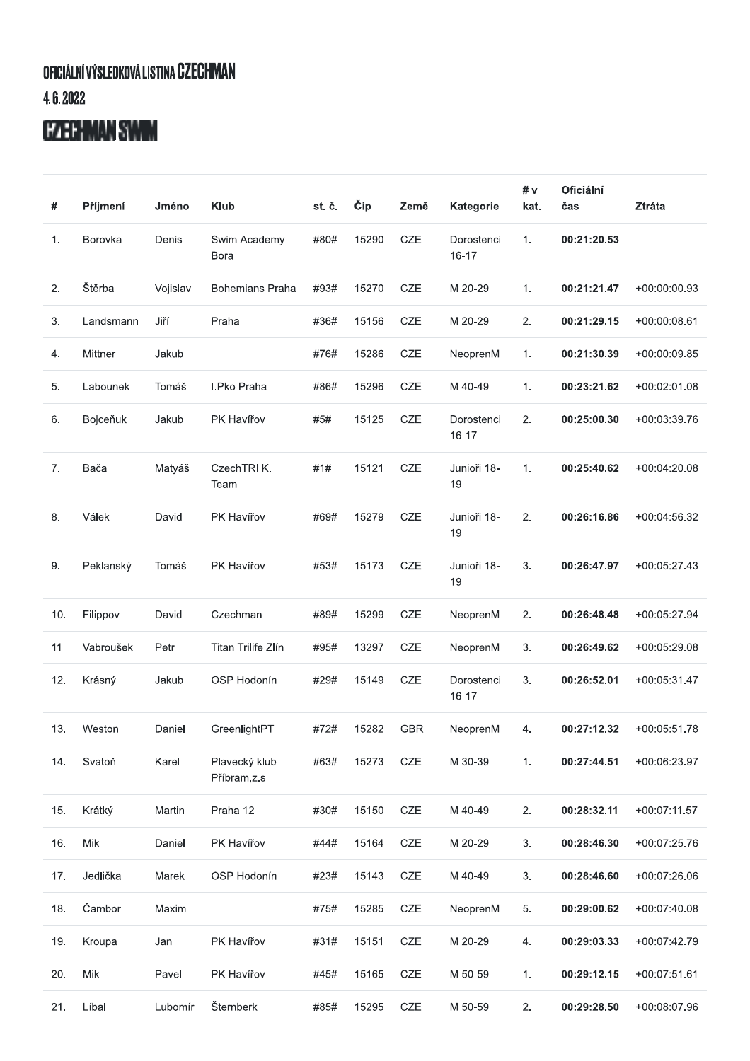## OFICIÁLNÍ VÝSLEDKOVÁ LISTINA CZECHMAN 4.6.2022

## **CZECHMAN SWIM**

| #   | Příjmení  | Jméno    | <b>Klub</b>                   | st. č. | Čip   | Země       | Kategorie               | #v<br>kat. | <b>Oficiální</b><br>čas | <b>Ztráta</b>  |
|-----|-----------|----------|-------------------------------|--------|-------|------------|-------------------------|------------|-------------------------|----------------|
| 1.  | Borovka   | Denis    | Swim Academy<br>Bora          | #80#   | 15290 | <b>CZE</b> | Dorostenci<br>$16 - 17$ | 1.         | 00:21:20.53             |                |
| 2.  | Štěrba    | Vojislav | <b>Bohemians Praha</b>        | #93#   | 15270 | <b>CZE</b> | M 20-29                 | 1.         | 00:21:21.47             | $+00:00:00.93$ |
| 3.  | Landsmann | Jiří     | Praha                         | #36#   | 15156 | CZE        | M 20-29                 | 2.         | 00:21:29.15             | $+00:00:08.61$ |
| 4.  | Mittner   | Jakub    |                               | #76#   | 15286 | CZE        | NeoprenM                | 1.         | 00:21:30.39             | +00:00:09.85   |
| 5.  | Labounek  | Tomáš    | I.Pko Praha                   | #86#   | 15296 | <b>CZE</b> | M 40-49                 | 1.         | 00:23:21.62             | +00:02:01.08   |
| 6.  | Bojceňuk  | Jakub    | PK Havířov                    | #5#    | 15125 | CZE        | Dorostenci<br>$16 - 17$ | 2.         | 00:25:00.30             | +00:03:39.76   |
| 7.  | Bača      | Matyáš   | CzechTRI K.<br>Team           | #1#    | 15121 | CZE        | Junioři 18-<br>19       | 1.         | 00:25:40.62             | $+00:04:20.08$ |
| 8.  | Válek     | David    | PK Havířov                    | #69#   | 15279 | CZE        | Junioři 18-<br>19       | 2.         | 00:26:16.86             | $+00:04:56.32$ |
| 9.  | Peklanský | Tomáš    | PK Havířov                    | #53#   | 15173 | CZE        | Junioři 18-<br>19       | 3.         | 00:26:47.97             | $+00:05:27.43$ |
| 10. | Filippov  | David    | Czechman                      | #89#   | 15299 | CZE        | NeoprenM                | 2.         | 00:26:48.48             | +00:05:27.94   |
| 11. | Vabroušek | Petr     | Titan Trilife Zlín            | #95#   | 13297 | <b>CZE</b> | NeoprenM                | 3.         | 00:26:49.62             | $+00:05:29.08$ |
| 12. | Krásný    | Jakub    | OSP Hodonín                   | #29#   | 15149 | CZE        | Dorostenci<br>$16 - 17$ | 3.         | 00:26:52.01             | +00:05:31.47   |
| 13. | Weston    | Daniel   | GreenlightPT                  | #72#   | 15282 | <b>GBR</b> | NeoprenM                | 4.         | 00:27:12.32             | $+00:05:51.78$ |
| 14. | Svatoň    | Karel    | Plavecký klub<br>Příbram,z.s. | #63#   | 15273 | CZE        | M 30-39                 | 1.         | 00:27:44.51             | +00:06:23.97   |
| 15. | Krátký    | Martin   | Praha 12                      | #30#   | 15150 | CZE        | M 40-49                 | 2.         | 00:28:32.11             | $+00:07:11.57$ |
| 16. | Mik       | Daniel   | PK Havířov                    | #44#   | 15164 | CZE        | M 20-29                 | 3.         | 00:28:46.30             | +00:07:25.76   |
| 17. | Jedlička  | Marek    | OSP Hodonín                   | #23#   | 15143 | CZE        | M 40-49                 | 3.         | 00:28:46.60             | +00:07:26.06   |
| 18. | Čambor    | Maxim    |                               | #75#   | 15285 | CZE        | NeoprenM                | 5.         | 00:29:00.62             | +00:07:40.08   |
| 19. | Kroupa    | Jan      | PK Havířov                    | #31#   | 15151 | CZE        | M 20-29                 | 4.         | 00:29:03.33             | +00:07:42.79   |
| 20. | Mik       | Pavel    | PK Havířov                    | #45#   | 15165 | CZE        | M 50-59                 | 1.         | 00:29:12.15             | $+00:07:51.61$ |
| 21. | Líbal     | Lubomír  | Šternberk                     | #85#   | 15295 | CZE        | M 50-59                 | 2.         | 00:29:28.50             | +00:08:07.96   |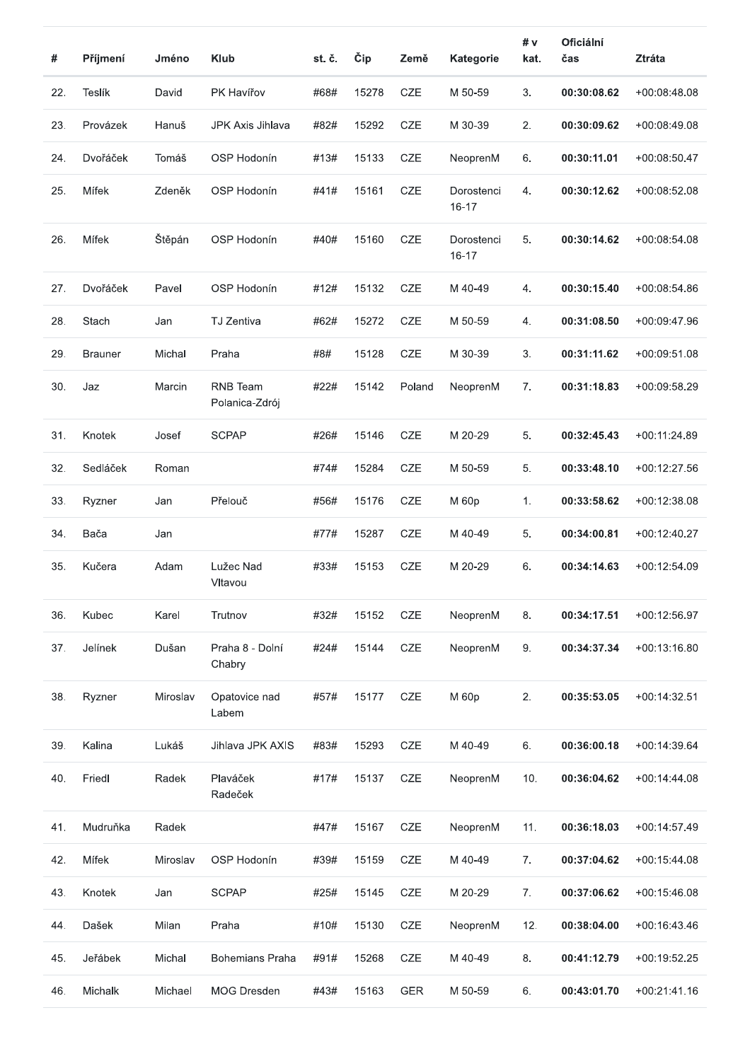| #   | Příjmení       | Jméno    | <b>Klub</b>                | st. č. | Čip   | Země       | Kategorie               | # v<br>kat. | <b>Oficiální</b><br>čas | <b>Ztráta</b>  |
|-----|----------------|----------|----------------------------|--------|-------|------------|-------------------------|-------------|-------------------------|----------------|
| 22. | Teslík         | David    | PK Havířov                 | #68#   | 15278 | <b>CZE</b> | M 50-59                 | 3.          | 00:30:08.62             | +00:08:48.08   |
| 23. | Provázek       | Hanuš    | JPK Axis Jihlava           | #82#   | 15292 | <b>CZE</b> | M 30-39                 | 2.          | 00:30:09.62             | +00:08:49.08   |
| 24. | Dvořáček       | Tomáš    | OSP Hodonín                | #13#   | 15133 | CZE        | NeoprenM                | 6.          | 00:30:11.01             | $+00:08:50.47$ |
| 25. | Mífek          | Zdeněk   | OSP Hodonín                | #41#   | 15161 | <b>CZE</b> | Dorostenci<br>16-17     | 4.          | 00:30:12.62             | +00:08:52.08   |
| 26. | Mífek          | Štěpán   | OSP Hodonín                | #40#   | 15160 | <b>CZE</b> | Dorostenci<br>$16 - 17$ | 5.          | 00:30:14.62             | $+00:08:54.08$ |
| 27. | Dvořáček       | Pavel    | OSP Hodonín                | #12#   | 15132 | <b>CZE</b> | M 40-49                 | 4.          | 00:30:15.40             | $+00:08:54.86$ |
| 28. | Stach          | Jan      | TJ Zentiva                 | #62#   | 15272 | CZE        | M 50-59                 | 4.          | 00:31:08.50             | +00:09:47.96   |
| 29. | <b>Brauner</b> | Michal   | Praha                      | #8#    | 15128 | CZE        | M 30-39                 | 3.          | 00:31:11.62             | $+00:09:51.08$ |
| 30. | Jaz            | Marcin   | RNB Team<br>Polanica-Zdrój | #22#   | 15142 | Poland     | NeoprenM                | 7.          | 00:31:18.83             | $+00:09:58.29$ |
| 31. | Knotek         | Josef    | <b>SCPAP</b>               | #26#   | 15146 | CZE        | M 20-29                 | 5.          | 00:32:45.43             | +00:11:24.89   |
| 32. | Sedláček       | Roman    |                            | #74#   | 15284 | <b>CZE</b> | M 50-59                 | 5.          | 00:33:48.10             | $+00:12:27.56$ |
| 33. | Ryzner         | Jan      | Přelouč                    | #56#   | 15176 | CZE        | M 60p                   | 1.          | 00:33:58.62             | $+00:12:38.08$ |
| 34. | Bača           | Jan      |                            | #77#   | 15287 | CZE        | M 40-49                 | 5.          | 00:34:00.81             | +00:12:40.27   |
| 35. | Kučera         | Adam     | Lužec Nad<br>Vltavou       | #33#   | 15153 | <b>CZE</b> | M 20-29                 | 6.          | 00:34:14.63             | $+00:12:54.09$ |
| 36. | Kubec          | Karel    | Trutnov                    | #32#   | 15152 | CZE        | NeoprenM                | 8.          | 00:34:17.51             | $+00:12:56.97$ |
| 37. | Jelínek        | Dušan    | Praha 8 - Dolní<br>Chabry  | #24#   | 15144 | CZE        | NeoprenM                | 9.          | 00:34:37.34             | $+00:13:16.80$ |
| 38. | Ryzner         | Miroslav | Opatovice nad<br>Labem     | #57#   | 15177 | CZE        | M 60p                   | 2.          | 00:35:53.05             | $+00:14:32.51$ |
| 39. | Kalina         | Lukáš    | Jihlava JPK AXIS           | #83#   | 15293 | CZE        | M 40-49                 | 6.          | 00:36:00.18             | +00:14:39.64   |
| 40. | Friedl         | Radek    | Plaváček<br>Radeček        | #17#   | 15137 | CZE        | NeoprenM                | 10.         | 00:36:04.62             | $+00:14:44.08$ |
| 41. | Mudruňka       | Radek    |                            | #47#   | 15167 | CZE        | NeoprenM                | 11.         | 00:36:18.03             | $+00:14:57.49$ |
| 42. | Mífek          | Miroslav | OSP Hodonín                | #39#   | 15159 | CZE        | M 40-49                 | 7.          | 00:37:04.62             | $+00:15:44.08$ |
| 43. | Knotek         | Jan      | <b>SCPAP</b>               | #25#   | 15145 | CZE        | M 20-29                 | 7.          | 00:37:06.62             | $+00:15:46.08$ |
| 44. | Dašek          | Milan    | Praha                      | #10#   | 15130 | CZE        | NeoprenM                | 12.         | 00:38:04.00             | +00:16:43.46   |
| 45. | Jeřábek        | Michal   | <b>Bohemians Praha</b>     | #91#   | 15268 | CZE        | M 40-49                 | 8.          | 00:41:12.79             | +00:19:52.25   |
| 46. | Michalk        | Michael  | MOG Dresden                | #43#   | 15163 | <b>GER</b> | M 50-59                 | 6.          | 00:43:01.70             | $+00:21:41.16$ |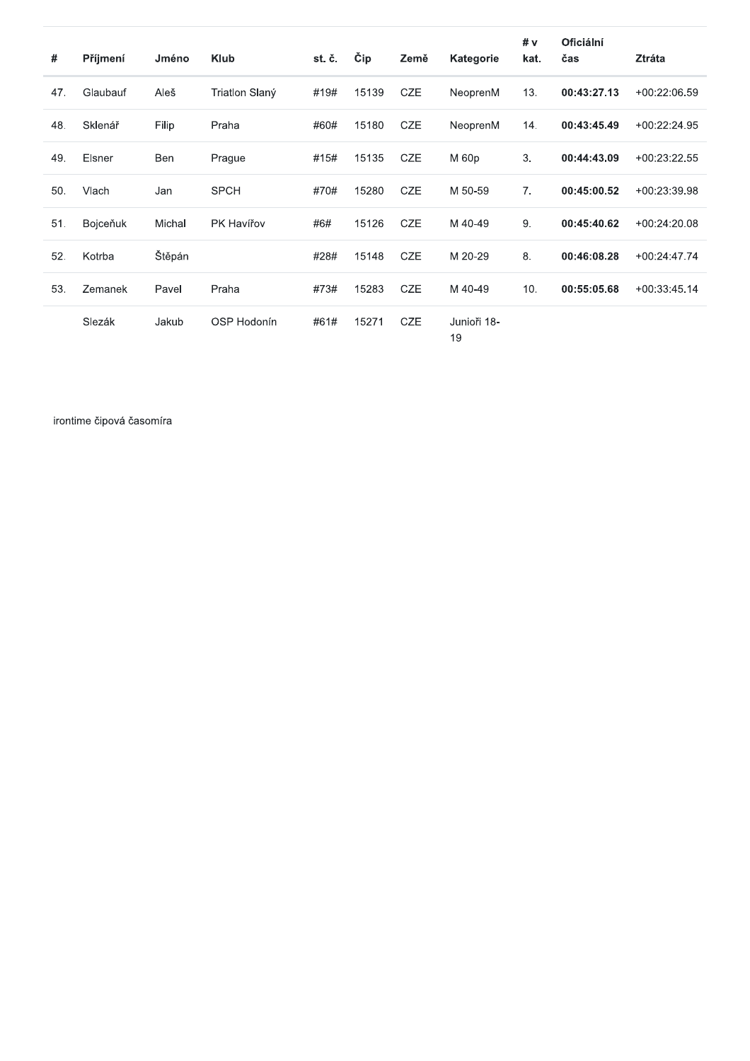| #   | Příjmení | Jméno  | <b>Klub</b>    | st. č. | Čip   | Země       | <b>Kategorie</b>  | # v<br>kat.    | <b>Oficiální</b><br>čas | Ztráta         |
|-----|----------|--------|----------------|--------|-------|------------|-------------------|----------------|-------------------------|----------------|
| 47. | Glaubauf | Aleš   | Triatlon Slaný | #19#   | 15139 | <b>CZE</b> | NeoprenM          | 13.            | 00:43:27.13             | $+00:22:06.59$ |
| 48. | Sklenář  | Filip  | Praha          | #60#   | 15180 | <b>CZE</b> | NeoprenM          | 14.            | 00:43:45.49             | $+00:22:24.95$ |
| 49. | Elsner   | Ben    | Prague         | #15#   | 15135 | <b>CZE</b> | M 60p             | 3.             | 00:44:43.09             | $+00:23:22.55$ |
| 50. | Vlach    | Jan    | <b>SPCH</b>    | #70#   | 15280 | <b>CZE</b> | M 50-59           | 7 <sub>1</sub> | 00:45:00.52             | +00:23:39.98   |
| 51. | Bojceňuk | Michal | PK Havířov     | #6#    | 15126 | <b>CZE</b> | M 40-49           | 9.             | 00:45:40.62             | $+00:24:20.08$ |
| 52. | Kotrba   | Štěpán |                | #28#   | 15148 | <b>CZE</b> | M 20-29           | 8.             | 00:46:08.28             | $+00:24:47.74$ |
| 53. | Zemanek  | Pavel  | Praha          | #73#   | 15283 | <b>CZE</b> | M 40-49           | 10.            | 00:55:05.68             | $+00:33:45.14$ |
|     | Slezák   | Jakub  | OSP Hodonín    | #61#   | 15271 | <b>CZE</b> | Junioři 18-<br>19 |                |                         |                |

irontime čipová časomíra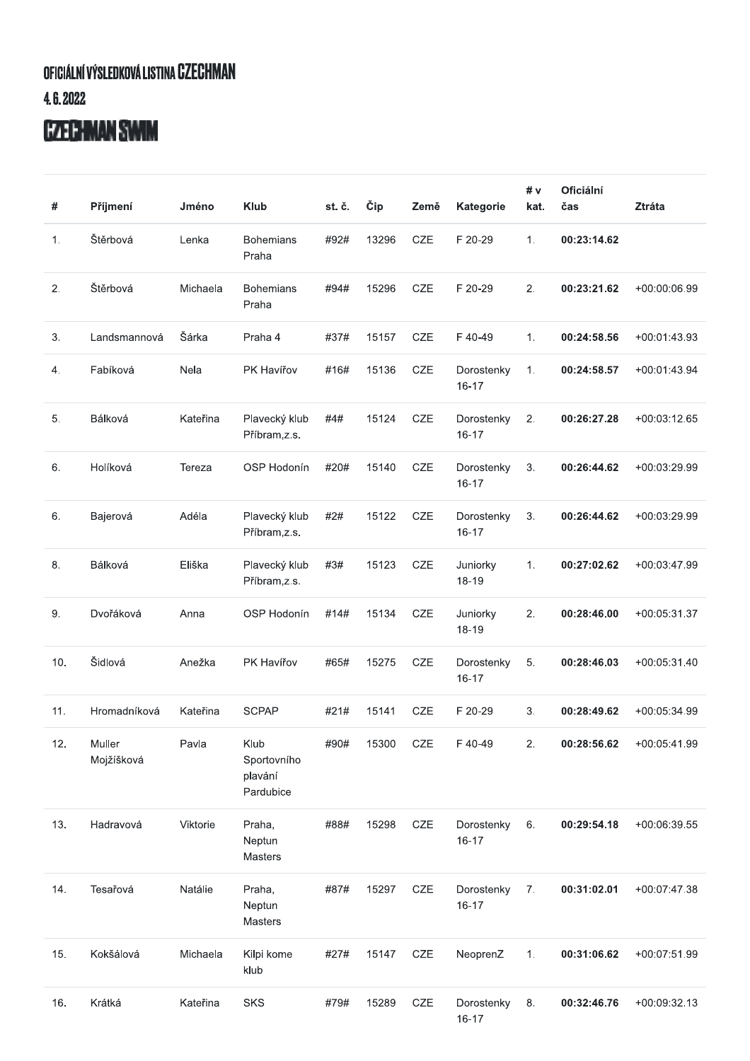## OFICIÁLNÍ VÝSLEDKOVÁ LISTINA CZECHMAN  $4.6.2022$

## **CZECHMAN SWIM**

| #   | Příjmení             | Jméno    | <b>Klub</b>                                 | st. č. | Čip   | Země       | Kategorie               | # $v$<br>kat. | Oficiální<br>čas | <b>Ztráta</b>  |
|-----|----------------------|----------|---------------------------------------------|--------|-------|------------|-------------------------|---------------|------------------|----------------|
| 1.  | Štěrbová             | Lenka    | <b>Bohemians</b><br>Praha                   | #92#   | 13296 | <b>CZE</b> | F 20-29                 | 1.            | 00:23:14.62      |                |
| 2.  | Štěrbová             | Michaela | <b>Bohemians</b><br>Praha                   | #94#   | 15296 | CZE        | F 20-29                 | 2.            | 00:23:21.62      | +00:00:06.99   |
| 3.  | Landsmannová         | Šárka    | Praha 4                                     | #37#   | 15157 | CZE        | F40-49                  | 1.            | 00:24:58.56      | $+00:01:43.93$ |
| 4.  | Fabíková             | Nela     | PK Havířov                                  | #16#   | 15136 | CZE        | Dorostenky<br>$16 - 17$ | 1.            | 00:24:58.57      | $+00:01:43.94$ |
| 5.  | Bálková              | Kateřina | Plavecký klub<br>Příbram,z.s.               | #4#    | 15124 | CZE        | Dorostenky<br>$16 - 17$ | 2.            | 00:26:27.28      | +00:03:12.65   |
| 6.  | Holíková             | Tereza   | OSP Hodonín                                 | #20#   | 15140 | CZE        | Dorostenky<br>$16 - 17$ | 3.            | 00:26:44.62      | +00:03:29.99   |
| 6.  | Bajerová             | Adéla    | Plavecký klub<br>Příbram,z.s.               | #2#    | 15122 | CZE        | Dorostenky<br>$16 - 17$ | 3.            | 00:26:44.62      | +00:03:29.99   |
| 8.  | Bálková              | Eliška   | Plavecký klub<br>Příbram,z.s.               | #3#    | 15123 | CZE        | Juniorky<br>18-19       | 1.            | 00:27:02.62      | +00:03:47.99   |
| 9.  | Dvořáková            | Anna     | OSP Hodonín                                 | #14#   | 15134 | CZE        | Juniorky<br>18-19       | 2.            | 00:28:46.00      | +00:05:31.37   |
| 10. | Šidlová              | Anežka   | PK Havířov                                  | #65#   | 15275 | CZE        | Dorostenky<br>$16 - 17$ | 5.            | 00:28:46.03      | $+00:05:31.40$ |
| 11. | Hromadníková         | Kateřina | <b>SCPAP</b>                                | #21#   | 15141 | <b>CZE</b> | F 20-29                 | 3.            | 00:28:49.62      | $+00:05:34.99$ |
| 12. | Muller<br>Mojžíšková | Pavla    | Klub<br>Sportovního<br>plavání<br>Pardubice | #90#   | 15300 | CZE        | F 40-49                 | 2.            | 00:28:56.62      | +00:05:41.99   |
| 13. | Hadravová            | Viktorie | Praha,<br>Neptun<br>Masters                 | #88#   | 15298 | CZE        | Dorostenky<br>$16 - 17$ | 6.            | 00:29:54.18      | +00:06:39.55   |
| 14. | Tesařová             | Natálie  | Praha,<br>Neptun<br>Masters                 | #87#   | 15297 | CZE        | Dorostenky<br>$16 - 17$ | 7.            | 00:31:02.01      | +00:07:47.38   |
| 15. | Kokšálová            | Michaela | Kilpi kome<br>klub                          | #27#   | 15147 | CZE        | NeoprenZ                | 1.            | 00:31:06.62      | +00:07:51.99   |
| 16. | Krátká               | Kateřina | <b>SKS</b>                                  | #79#   | 15289 | CZE        | Dorostenky<br>16-17     | 8.            | 00:32:46.76      | +00:09:32.13   |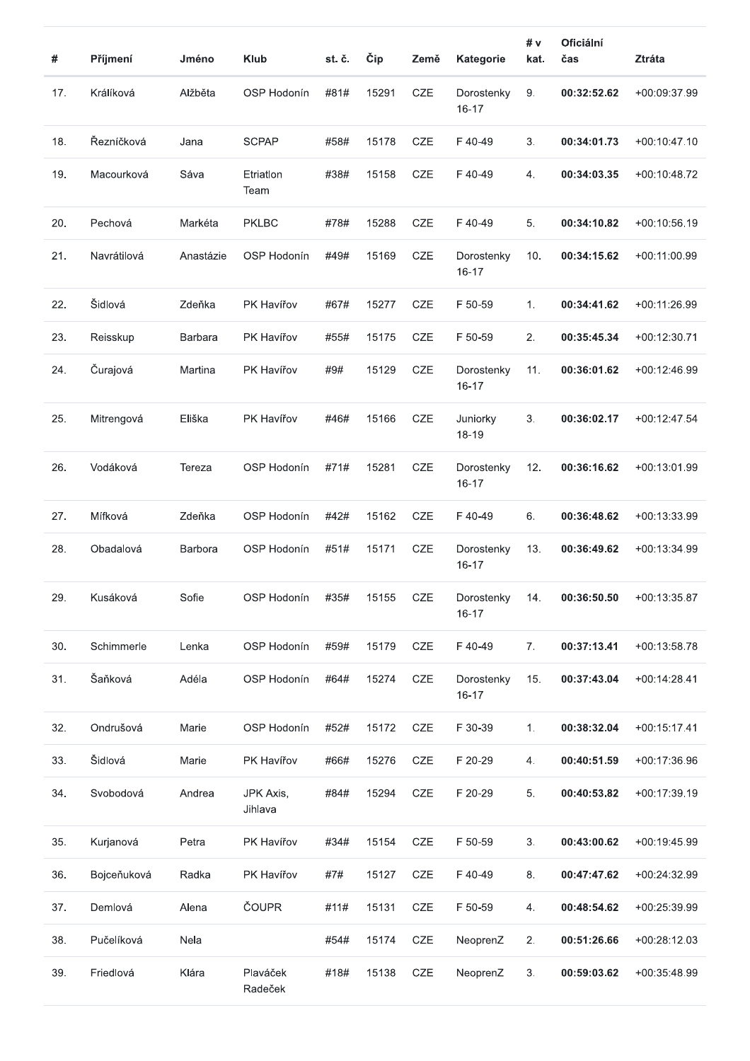| #   | Příjmení    | Jméno     | <b>Klub</b>          | st. č. | Čip   | Země       | Kategorie               | # v<br>kat. | Oficiální<br>čas | <b>Ztráta</b>  |
|-----|-------------|-----------|----------------------|--------|-------|------------|-------------------------|-------------|------------------|----------------|
| 17. | Králíková   | Alžběta   | OSP Hodonín          | #81#   | 15291 | CZE        | Dorostenky<br>$16 - 17$ | 9.          | 00:32:52.62      | +00:09:37.99   |
| 18. | Řezníčková  | Jana      | <b>SCPAP</b>         | #58#   | 15178 | <b>CZE</b> | F40-49                  | 3.          | 00:34:01.73      | $+00:10:47.10$ |
| 19. | Macourková  | Sáva      | Etriation<br>Team    | #38#   | 15158 | CZE        | F40-49                  | 4.          | 00:34:03.35      | +00:10:48.72   |
| 20. | Pechová     | Markéta   | <b>PKLBC</b>         | #78#   | 15288 | <b>CZE</b> | F40-49                  | 5.          | 00:34:10.82      | $+00:10:56.19$ |
| 21. | Navrátilová | Anastázie | OSP Hodonín          | #49#   | 15169 | CZE        | Dorostenky<br>$16 - 17$ | 10.         | 00:34:15.62      | +00:11:00.99   |
| 22. | Šidlová     | Zdeňka    | PK Havířov           | #67#   | 15277 | CZE        | F 50-59                 | 1.          | 00:34:41.62      | +00:11:26.99   |
| 23. | Reisskup    | Barbara   | PK Havířov           | #55#   | 15175 | <b>CZE</b> | F 50-59                 | 2.          | 00:35:45.34      | +00:12:30.71   |
| 24. | Čurajová    | Martina   | PK Havířov           | #9#    | 15129 | CZE        | Dorostenky<br>$16 - 17$ | 11.         | 00:36:01.62      | $+00:12:46.99$ |
| 25. | Mitrengová  | Eliška    | PK Havířov           | #46#   | 15166 | CZE        | Juniorky<br>18-19       | 3.          | 00:36:02.17      | $+00:12:47.54$ |
| 26. | Vodáková    | Tereza    | OSP Hodonín          | #71#   | 15281 | CZE        | Dorostenky<br>$16 - 17$ | 12.         | 00:36:16.62      | +00:13:01.99   |
| 27. | Mífková     | Zdeňka    | OSP Hodonín          | #42#   | 15162 | CZE        | F40-49                  | 6.          | 00:36:48.62      | +00:13:33.99   |
| 28. | Obadalová   | Barbora   | OSP Hodonín          | #51#   | 15171 | CZE        | Dorostenky<br>16-17     | 13.         | 00:36:49.62      | +00:13:34.99   |
| 29. | Kusáková    | Sofie     | OSP Hodonín          | #35#   | 15155 | CZE        | Dorostenky<br>$16 - 17$ | 14.         | 00:36:50.50      | +00:13:35.87   |
| 30. | Schimmerle  | Lenka     | OSP Hodonín          | #59#   | 15179 | CZE        | F40-49                  | 7.          | 00:37:13.41      | +00:13:58.78   |
| 31. | Šaňková     | Adéla     | OSP Hodonín          | #64#   | 15274 | CZE        | Dorostenky<br>$16 - 17$ | 15.         | 00:37:43.04      | $+00:14:28.41$ |
| 32. | Ondrušová   | Marie     | OSP Hodonín          | #52#   | 15172 | CZE        | F 30-39                 | 1.          | 00:38:32.04      | $+00:15:17.41$ |
| 33. | Šidlová     | Marie     | PK Havířov           | #66#   | 15276 | CZE        | F 20-29                 | 4.          | 00:40:51.59      | +00:17:36.96   |
| 34. | Svobodová   | Andrea    | JPK Axis,<br>Jihlava | #84#   | 15294 | CZE        | F 20-29                 | 5.          | 00:40:53.82      | +00:17:39.19   |
| 35. | Kurjanová   | Petra     | PK Havířov           | #34#   | 15154 | CZE        | F 50-59                 | 3.          | 00:43:00.62      | +00:19:45.99   |
| 36. | Bojceňuková | Radka     | PK Havířov           | #7#    | 15127 | CZE        | F 40-49                 | 8.          | 00:47:47.62      | +00:24:32.99   |
| 37. | Demlová     | Alena     | ČOUPR                | #11#   | 15131 | CZE        | F 50-59                 | 4.          | 00:48:54.62      | +00:25:39.99   |
| 38. | Pučelíková  | Nela      |                      | #54#   | 15174 | CZE        | NeoprenZ                | 2.          | 00:51:26.66      | +00:28:12.03   |
| 39. | Friedlová   | Klára     | Plaváček<br>Radeček  | #18#   | 15138 | CZE        | NeoprenZ                | 3.          | 00:59:03.62      | +00:35:48.99   |